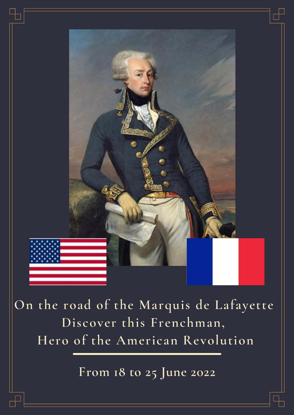

**On the road of the Marquis de Lafayette Discover this Frenchman, Hero of the American Revolution**

**From 18 to 25 June 2022**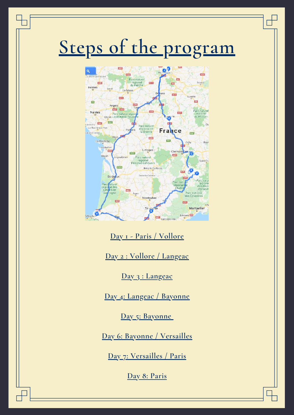# **Steps of the program**



**Day 1 - Paris / Vollore**

**Day 2 : Vollore / Langeac**

**Day 3 : Langeac**

**Day 4: Langeac / Bayonne**

**Day 5: Bayonne**

**Day 6: Bayonne / Versailles**

**Day 7: Versailles / Paris**

**Day 8: Paris**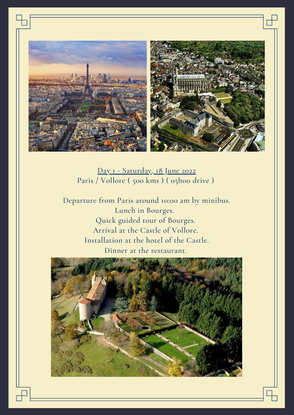

Day 1 - Saturday, 18 June 2022 Paris / Vollore ( 500 kms ) ( 05h00 drive )

Departure from Paris around 10:00 am by minibus. Lunch in Bourges. Quick guided tour of Bourges. Arrival at the Castle of Vollore. Installation at the hotel of the Castle. Dinner at the restaurant.

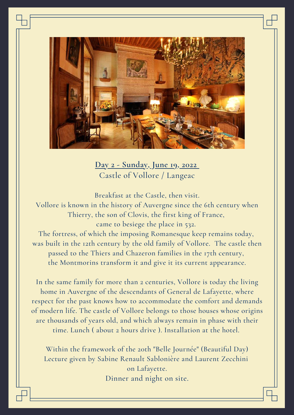

**Day 2 - Sunday, June 19, 2022** Castle of Vollore / Langeac

Breakfast at the Castle, then visit. Vollore is known in the history of Auvergne since the 6th century when Thierry, the son of Clovis, the first king of France, came to besiege the place in 532.

The fortress, of which the imposing Romanesque keep remains today, was built in the 12th century by the old family of Vollore. The castle then passed to the Thiers and Chazeron families in the 17th century, the Montmorins transform it and give it its current appearance.

In the same family for more than 2 centuries, Vollore is today the living home in Auvergne of the descendants of General de Lafayette, where respect for the past knows how to accommodate the comfort and demands of modern life. The castle of Vollore belongs to those houses whose origins are thousands of years old, and which always remain in phase with their time. Lunch ( about 2 hours drive ). Installation at the hotel.

Within the framework of the 20th "Belle Journée" (Beautiful Day) Lecture given by Sabine Renault Sablonière and Laurent Zecchini on Lafayette. Dinner and night on site.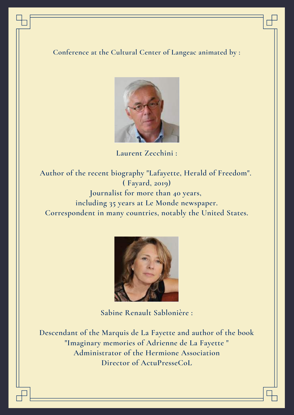**Conference at the Cultural Center of Langeac animated by :**



**Laurent Zecchini :**

**Author of the recent biography "Lafayette, Herald of Freedom". ( Fayard, 2019) Journalist for more than 40 years, including 35 years at Le Monde newspaper. Correspondent in many countries, notably the United States.**



**Sabine Renault Sablonière :**

**Descendant of the Marquis de La Fayette and author of the book "Imaginary memories of Adrienne de La Fayette " Administrator of the Hermione Association Director of ActuPresseCoL**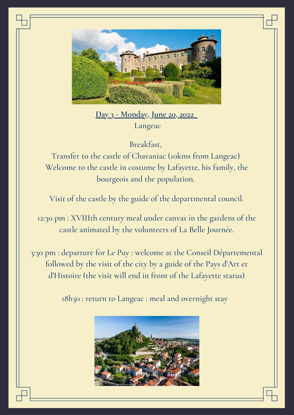

**Day 3 - Monday, June 20, 2022** Langeac

Breakfast,

Transfer to the castle of Chavaniac (10kms from Langeac) Welcome to the castle in costume by Lafayette, his family, the bourgeois and the population.

Visit of the castle by the guide of the departmental council.

12:30 pm : XVIIIth century meal under canvas in the gardens of the castle animated by the volunteers of La Belle Journée.

3:30 pm : departure for Le Puy : welcome at the Conseil Départemental followed by the visit of the city by a guide of the Pays d'Art et d'Histoire (the visit will end in front of the Lafayette status)

18h30 : return to Langeac : meal and overnight stay

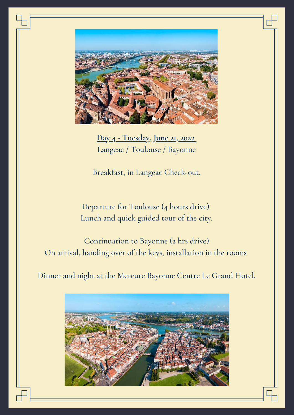

**Day 4 - Tuesday, June 21, 2022** Langeac / Toulouse / Bayonne

Breakfast, in Langeac Check-out.

Departure for Toulouse (4 hours drive) Lunch and quick guided tour of the city.

Continuation to Bayonne (2 hrs drive) On arrival, handing over of the keys, installation in the rooms

Dinner and night at the Mercure Bayonne Centre Le Grand Hotel.

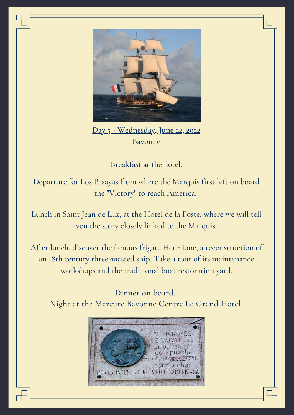

**Day 5 - Wednesday, June 22, 2022** Bayonne

Breakfast at the hotel.

Departure for Los Pasayas from where the Marquis first left on board the "Victory" to reach America.

Lunch in Saint Jean de Luz, at the Hotel de la Poste, where we will tell you the story closely linked to the Marquis.

After lunch, discover the famous frigate Hermione, a reconstruction of an 18th century three-masted ship. Take a tour of its maintenance workshops and the traditional boat restoration yard.

Dinner on board. Night at the Mercure Bayonne Centre Le Grand Hotel.

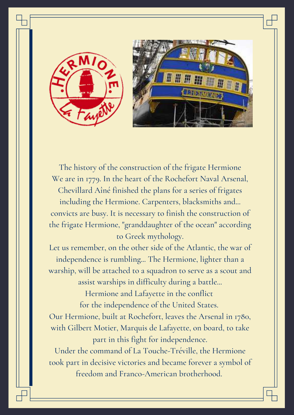



The history of the construction of the frigate Hermione We are in 1779. In the heart of the Rochefort Naval Arsenal, Chevillard Aîné finished the plans for a series of frigates including the Hermione. Carpenters, blacksmiths and... convicts are busy. It is necessary to finish the construction of the frigate Hermione, "granddaughter of the ocean" according to Greek mythology.

Let us remember, on the other side of the Atlantic, the war of independence is rumbling... The Hermione, lighter than a warship, will be attached to a squadron to serve as a scout and assist warships in difficulty during a battle...

> Hermione and Lafayette in the conflict for the independence of the United States.

Our Hermione, built at Rochefort, leaves the Arsenal in 1780, with Gilbert Motier, Marquis de Lafayette, on board, to take part in this fight for independence.

Under the command of La Touche-Tréville, the Hermione took part in decisive victories and became forever a symbol of freedom and Franco-American brotherhood.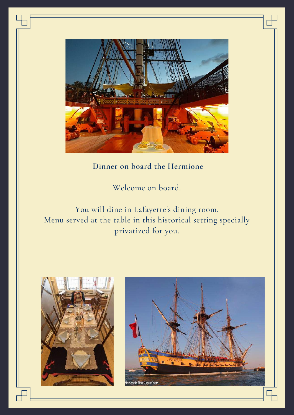

#### **Dinner on board the Hermione**

Welcome on board.

You will dine in Lafayette's dining room. Menu served at the table in this historical setting specially privatized for you.



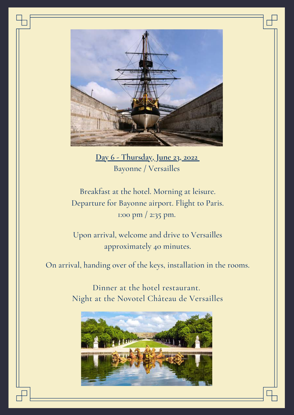

**Day 6 - Thursday, June 23, 2022** Bayonne / Versailles

Breakfast at the hotel. Morning at leisure. Departure for Bayonne airport. Flight to Paris. 1:00 pm / 2:35 pm.

Upon arrival, welcome and drive to Versailles approximately 40 minutes.

On arrival, handing over of the keys, installation in the rooms.

Dinner at the hotel restaurant. Night at the Novotel Château de Versailles

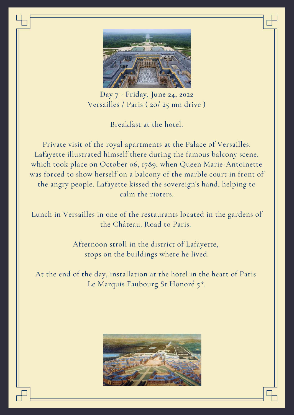

**Day 7 - Friday, June 24, 2022** Versailles / Paris ( 20/ 25 mn drive )

Breakfast at the hotel.

Private visit of the royal apartments at the Palace of Versailles. Lafayette illustrated himself there during the famous balcony scene, which took place on October 06, 1789, when Queen Marie-Antoinette was forced to show herself on a balcony of the marble court in front of the angry people. Lafayette kissed the sovereign's hand, helping to calm the rioters.

Lunch in Versailles in one of the restaurants located in the gardens of the Château. Road to Paris.

> Afternoon stroll in the district of Lafayette, stops on the buildings where he lived.

At the end of the day, installation at the hotel in the heart of Paris Le Marquis Faubourg St Honoré 5\*.

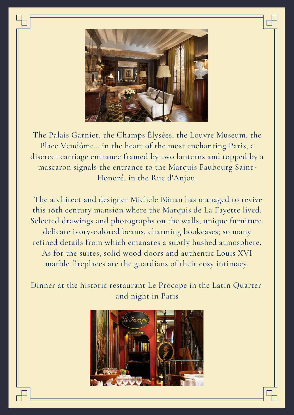

The Palais Garnier, the Champs Élysées, the Louvre Museum, the Place Vendôme... in the heart of the most enchanting Paris, a discreet carriage entrance framed by two lanterns and topped by a mascaron signals the entrance to the Marquis Faubourg Saint-Honoré, in the Rue d'Anjou.

The architect and designer Michele Bönan has managed to revive this 18th century mansion where the Marquis de La Fayette lived. Selected drawings and photographs on the walls, unique furniture, delicate ivory-colored beams, charming bookcases; so many refined details from which emanates a subtly hushed atmosphere. As for the suites, solid wood doors and authentic Louis XVI marble fireplaces are the guardians of their cosy intimacy.

Dinner at the historic restaurant Le Procope in the Latin Quarter and night in Paris

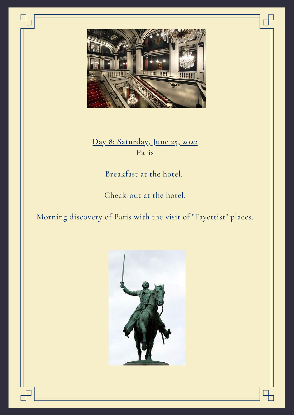

**Day 8: Saturday, June 25, 2022** Paris

Breakfast at the hotel.

Check-out at the hotel.

Morning discovery of Paris with the visit of "Fayettist" places.